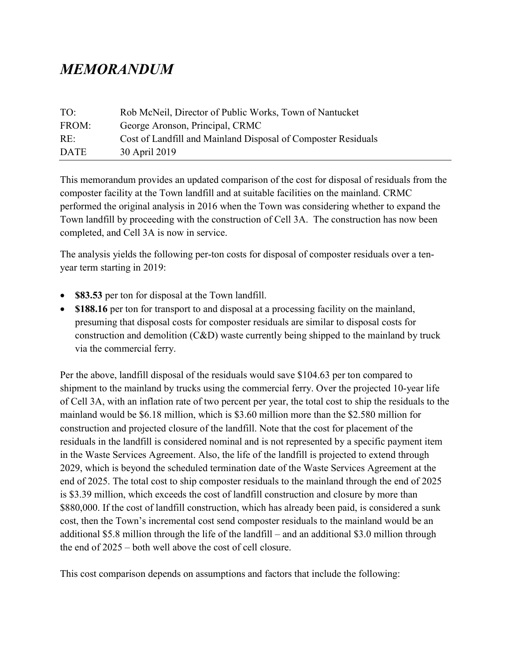## MEMORANDUM

| TO:         | Rob McNeil, Director of Public Works, Town of Nantucket       |
|-------------|---------------------------------------------------------------|
| FROM:       | George Aronson, Principal, CRMC                               |
| RE:         | Cost of Landfill and Mainland Disposal of Composter Residuals |
| <b>DATE</b> | 30 April 2019                                                 |

This memorandum provides an updated comparison of the cost for disposal of residuals from the composter facility at the Town landfill and at suitable facilities on the mainland. CRMC performed the original analysis in 2016 when the Town was considering whether to expand the Town landfill by proceeding with the construction of Cell 3A. The construction has now been completed, and Cell 3A is now in service.

The analysis yields the following per-ton costs for disposal of composter residuals over a tenyear term starting in 2019:

- \$83.53 per ton for disposal at the Town landfill.
- \$188.16 per ton for transport to and disposal at a processing facility on the mainland, presuming that disposal costs for composter residuals are similar to disposal costs for construction and demolition (C&D) waste currently being shipped to the mainland by truck via the commercial ferry.

Per the above, landfill disposal of the residuals would save \$104.63 per ton compared to shipment to the mainland by trucks using the commercial ferry. Over the projected 10-year life of Cell 3A, with an inflation rate of two percent per year, the total cost to ship the residuals to the mainland would be \$6.18 million, which is \$3.60 million more than the \$2.580 million for construction and projected closure of the landfill. Note that the cost for placement of the residuals in the landfill is considered nominal and is not represented by a specific payment item in the Waste Services Agreement. Also, the life of the landfill is projected to extend through 2029, which is beyond the scheduled termination date of the Waste Services Agreement at the end of 2025. The total cost to ship composter residuals to the mainland through the end of 2025 is \$3.39 million, which exceeds the cost of landfill construction and closure by more than \$880,000. If the cost of landfill construction, which has already been paid, is considered a sunk cost, then the Town's incremental cost send composter residuals to the mainland would be an additional \$5.8 million through the life of the landfill – and an additional \$3.0 million through the end of 2025 – both well above the cost of cell closure.

This cost comparison depends on assumptions and factors that include the following: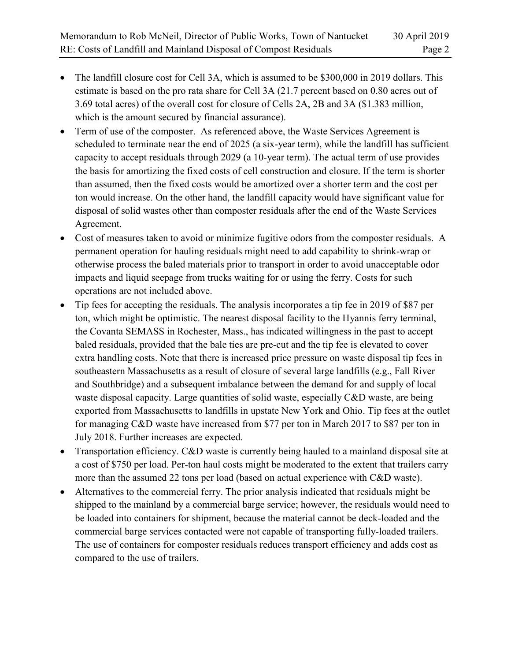- The landfill closure cost for Cell 3A, which is assumed to be \$300,000 in 2019 dollars. This estimate is based on the pro rata share for Cell 3A (21.7 percent based on 0.80 acres out of 3.69 total acres) of the overall cost for closure of Cells 2A, 2B and 3A (\$1.383 million, which is the amount secured by financial assurance).
- Term of use of the composter. As referenced above, the Waste Services Agreement is scheduled to terminate near the end of 2025 (a six-year term), while the landfill has sufficient capacity to accept residuals through 2029 (a 10-year term). The actual term of use provides the basis for amortizing the fixed costs of cell construction and closure. If the term is shorter than assumed, then the fixed costs would be amortized over a shorter term and the cost per ton would increase. On the other hand, the landfill capacity would have significant value for disposal of solid wastes other than composter residuals after the end of the Waste Services Agreement.
- Cost of measures taken to avoid or minimize fugitive odors from the composter residuals. A permanent operation for hauling residuals might need to add capability to shrink-wrap or otherwise process the baled materials prior to transport in order to avoid unacceptable odor impacts and liquid seepage from trucks waiting for or using the ferry. Costs for such operations are not included above.
- Tip fees for accepting the residuals. The analysis incorporates a tip fee in 2019 of \$87 per ton, which might be optimistic. The nearest disposal facility to the Hyannis ferry terminal, the Covanta SEMASS in Rochester, Mass., has indicated willingness in the past to accept baled residuals, provided that the bale ties are pre-cut and the tip fee is elevated to cover extra handling costs. Note that there is increased price pressure on waste disposal tip fees in southeastern Massachusetts as a result of closure of several large landfills (e.g., Fall River and Southbridge) and a subsequent imbalance between the demand for and supply of local waste disposal capacity. Large quantities of solid waste, especially C&D waste, are being exported from Massachusetts to landfills in upstate New York and Ohio. Tip fees at the outlet for managing C&D waste have increased from \$77 per ton in March 2017 to \$87 per ton in July 2018. Further increases are expected.
- Transportation efficiency. C&D waste is currently being hauled to a mainland disposal site at a cost of \$750 per load. Per-ton haul costs might be moderated to the extent that trailers carry more than the assumed 22 tons per load (based on actual experience with C&D waste).
- Alternatives to the commercial ferry. The prior analysis indicated that residuals might be shipped to the mainland by a commercial barge service; however, the residuals would need to be loaded into containers for shipment, because the material cannot be deck-loaded and the commercial barge services contacted were not capable of transporting fully-loaded trailers. The use of containers for composter residuals reduces transport efficiency and adds cost as compared to the use of trailers.